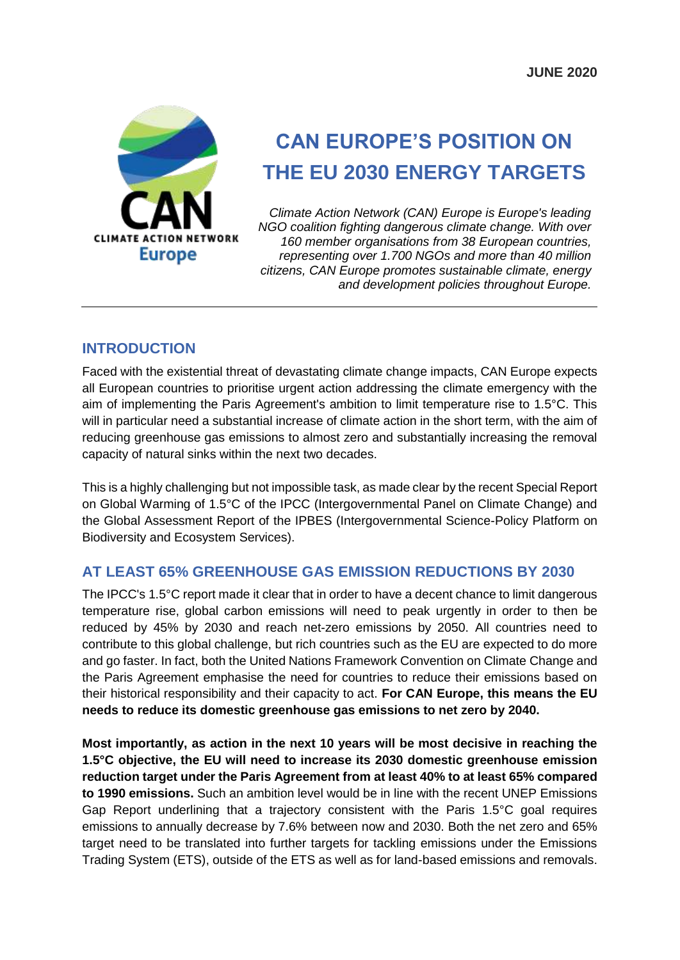

# **CAN EUROPE'S POSITION ON THE EU 2030 ENERGY TARGETS**

*Climate Action Network (CAN) Europe is Europe's leading NGO coalition fighting dangerous climate change. With over 160 member organisations from 38 European countries, representing over 1.700 NGOs and more than 40 million citizens, CAN Europe promotes sustainable climate, energy and development policies throughout Europe.*

### **INTRODUCTION**

Faced with the existential threat of devastating climate change impacts, CAN Europe expects all European countries to prioritise urgent action addressing the climate emergency with the aim of implementing the Paris Agreement's ambition to limit temperature rise to 1.5°C. This will in particular need a substantial increase of climate action in the short term, with the aim of reducing greenhouse gas emissions to almost zero and substantially increasing the removal capacity of natural sinks within the next two decades.

This is a highly challenging but not impossible task, as made clear by the recent Special Report on Global Warming of 1.5°C of the IPCC (Intergovernmental Panel on Climate Change) and the Global Assessment Report of the IPBES (Intergovernmental Science-Policy Platform on Biodiversity and Ecosystem Services).

# **AT LEAST 65% GREENHOUSE GAS EMISSION REDUCTIONS BY 2030**

The IPCC's 1.5°C report made it clear that in order to have a decent chance to limit dangerous temperature rise, global carbon emissions will need to peak urgently in order to then be reduced by 45% by 2030 and reach net-zero emissions by 2050. All countries need to contribute to this global challenge, but rich countries such as the EU are expected to do more and go faster. In fact, both the United Nations Framework Convention on Climate Change and the Paris Agreement emphasise the need for countries to reduce their emissions based on their historical responsibility and their capacity to act. **For CAN Europe, this means the EU needs to reduce its domestic greenhouse gas emissions to net zero by 2040.**

**Most importantly, as action in the next 10 years will be most decisive in reaching the 1.5°C objective, the EU will need to increase its 2030 domestic greenhouse emission reduction target under the Paris Agreement from at least 40% to at least 65% compared to 1990 emissions.** Such an ambition level would be in line with the recent UNEP Emissions Gap Report underlining that a trajectory consistent with the Paris 1.5°C goal requires emissions to annually decrease by 7.6% between now and 2030. Both the net zero and 65% target need to be translated into further targets for tackling emissions under the Emissions Trading System (ETS), outside of the ETS as well as for land-based emissions and removals.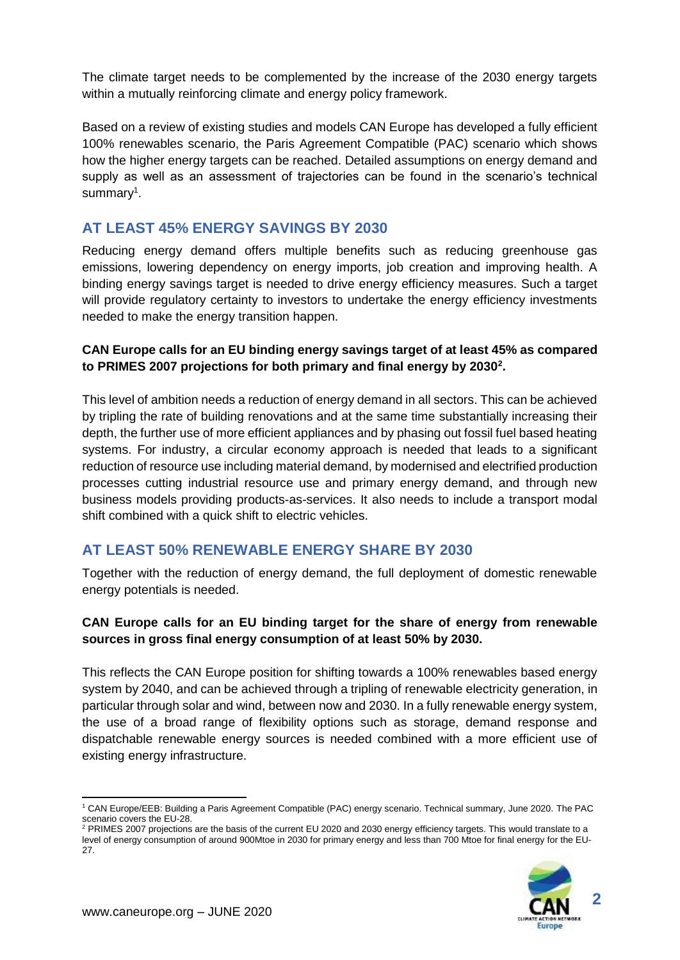The climate target needs to be complemented by the increase of the 2030 energy targets within a mutually reinforcing climate and energy policy framework.

Based on a review of existing studies and models CAN Europe has developed a fully efficient 100% renewables scenario, the Paris Agreement Compatible (PAC) scenario which shows how the higher energy targets can be reached. Detailed assumptions on energy demand and supply as well as an assessment of trajectories can be found in the scenario's technical summary<sup>1</sup>.

# **AT LEAST 45% ENERGY SAVINGS BY 2030**

Reducing energy demand offers multiple benefits such as reducing greenhouse gas emissions, lowering dependency on energy imports, job creation and improving health. A binding energy savings target is needed to drive energy efficiency measures. Such a target will provide regulatory certainty to investors to undertake the energy efficiency investments needed to make the energy transition happen.

#### **CAN Europe calls for an EU binding energy savings target of at least 45% as compared to PRIMES 2007 projections for both primary and final energy by 2030<sup>2</sup> .**

This level of ambition needs a reduction of energy demand in all sectors. This can be achieved by tripling the rate of building renovations and at the same time substantially increasing their depth, the further use of more efficient appliances and by phasing out fossil fuel based heating systems. For industry, a circular economy approach is needed that leads to a significant reduction of resource use including material demand, by modernised and electrified production processes cutting industrial resource use and primary energy demand, and through new business models providing products-as-services. It also needs to include a transport modal shift combined with a quick shift to electric vehicles.

# **AT LEAST 50% RENEWABLE ENERGY SHARE BY 2030**

Together with the reduction of energy demand, the full deployment of domestic renewable energy potentials is needed.

#### **CAN Europe calls for an EU binding target for the share of energy from renewable sources in gross final energy consumption of at least 50% by 2030.**

This reflects the CAN Europe position for shifting towards a 100% renewables based energy system by 2040, and can be achieved through a tripling of renewable electricity generation, in particular through solar and wind, between now and 2030. In a fully renewable energy system, the use of a broad range of flexibility options such as storage, demand response and dispatchable renewable energy sources is needed combined with a more efficient use of existing energy infrastructure.

<sup>&</sup>lt;sup>2</sup> PRIMES 2007 projections are the basis of the current EU 2020 and 2030 energy efficiency targets. This would translate to a level of energy consumption of around 900Mtoe in 2030 for primary energy and less than 700 Mtoe for final energy for the EU-27.



<sup>-</sup><sup>1</sup> CAN Europe/EEB: Building a Paris Agreement Compatible (PAC) energy scenario. Technical summary, June 2020. The PAC scenario covers the EU-28.